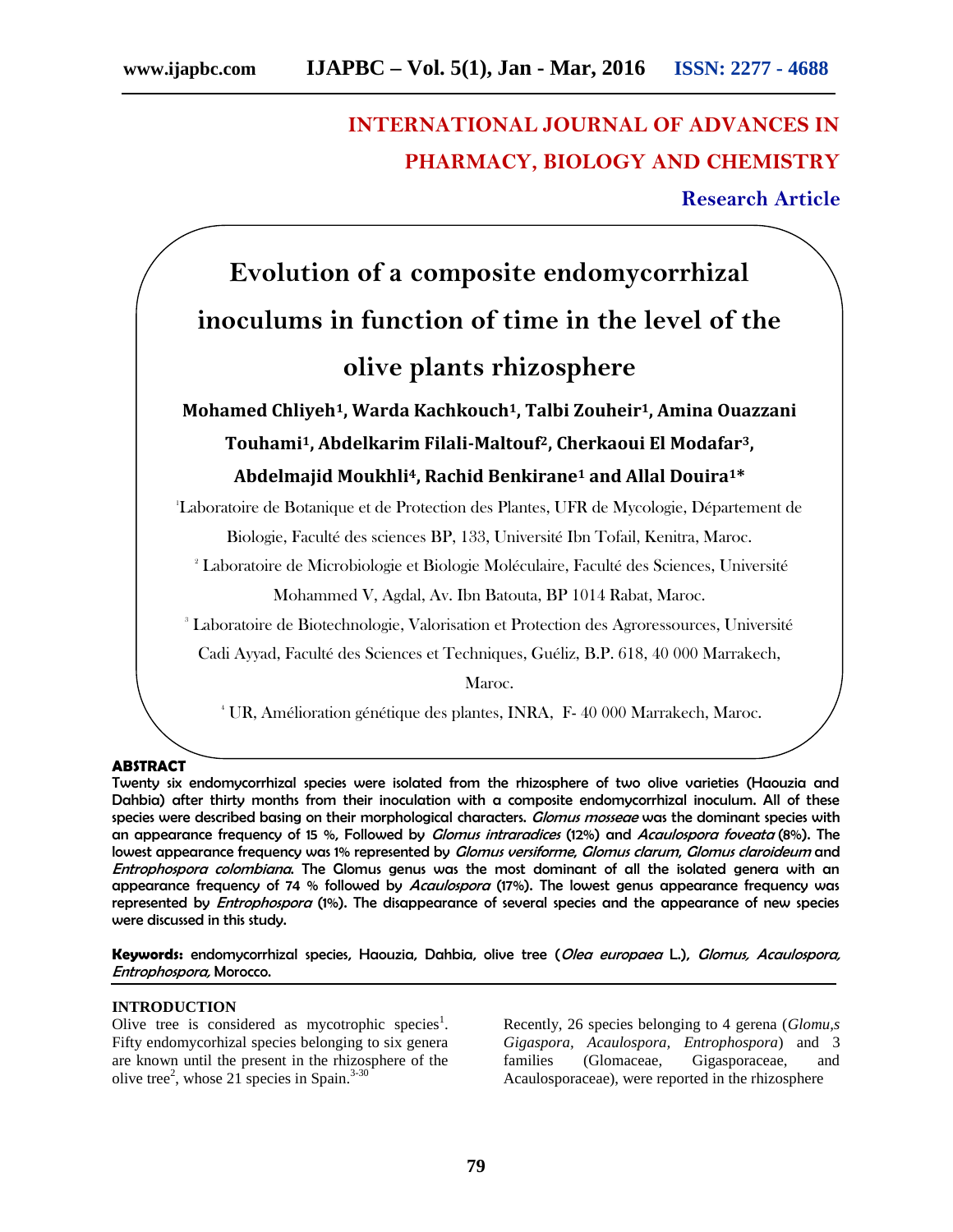# **INTERNATIONAL JOURNAL OF ADVANCES IN PHARMACY, BIOLOGY AND CHEMISTRY Research Article**

# **Evolution of a composite endomycorrhizal inoculums in function of time in the level of the olive plants rhizosphere**

**Mohamed Chliyeh1, Warda Kachkouch1, Talbi Zouheir1, Amina Ouazzani Touhami1, Abdelkarim Filali-Maltouf2, Cherkaoui El Modafar3, Abdelmajid Moukhli4, Rachid Benkirane<sup>1</sup> and Allal Douira1\***

<sup>1</sup>Laboratoire de Botanique et de Protection des Plantes, UFR de Mycologie, Département de

Biologie, Faculté des sciences BP, 133, Université Ibn Tofail, Kenitra, Maroc.

<sup>2</sup> Laboratoire de Microbiologie et Biologie Moléculaire, Faculté des Sciences, Université

Mohammed V, Agdal, Av. Ibn Batouta, BP 1014 Rabat, Maroc.

<sup>3</sup> Laboratoire de Biotechnologie, Valorisation et Protection des Agroressources, Université

Cadi Ayyad, Faculté des Sciences et Techniques, Guéliz, B.P. 618, 40 000 Marrakech,

Maroc.

<sup>4</sup> UR, Amélioration génétique des plantes, INRA, F-40 000 Marrakech, Maroc.

**ABSTRACT**

Twenty six endomycorrhizal species were isolated from the rhizosphere of two olive varieties (Haouzia and Dahbia) after thirty months from their inoculation with a composite endomycorrhizal inoculum. All of these species were described basing on their morphological characters. *Glomus mosseae* was the dominant species with an appearance frequency of 15 %, Followed by *Glomus intraradices* (12%) and *Acaulospora foveata* (8%). The lowest appearance frequency was 1% represented by *Glomus versiforme*, *Glomus clarum*, *Glomus claroideum* and *Entrophospora colombiana*. The Glomus genus was the most dominant of all the isolated genera with an appearance frequency of 74 % followed by *Acaulospora* (17%). The lowest genus appearance frequency was represented by *Entrophospora* (1%). The disappearance of several species and the appearance of new species were discussed in this study.

**Keywords:** endomycorrhizal species, Haouzia, Dahbia, olive tree (*Olea europaea* L.), *Glomus, Acaulospora, Entrophospora,* Morocco.

#### **INTRODUCTION**

Olive tree is considered as mycotrophic species<sup>1</sup>. Fifty endomycorhizal species belonging to six genera are known until the present in the rhizosphere of the olive tree<sup>2</sup>, whose 21 species in Spain.<sup>3-30</sup>

Recently, 26 species belonging to 4 gerena (*Glomu,s Gigaspora, Acaulospora, Entrophospora*) and 3 (Glomaceae, Gigasporaceae, and Acaulosporaceae), were reported in the rhizosphere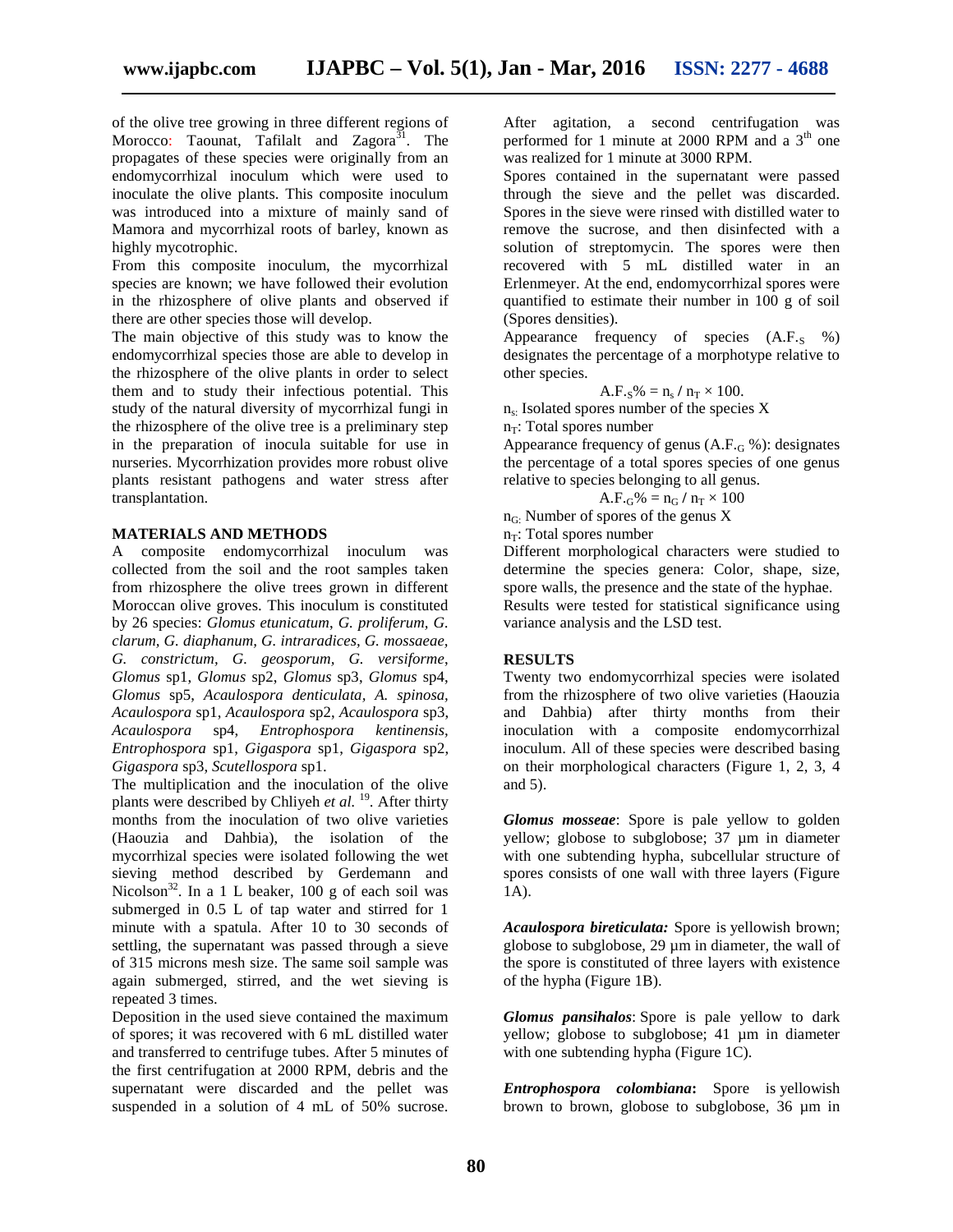of the olive tree growing in three different regions of Morocco: Taounat, Tafilalt and Zagora<sup>31</sup>. The propagates of these species were originally from an endomycorrhizal inoculum which were used to inoculate the olive plants. This composite inoculum was introduced into a mixture of mainly sand of Mamora and mycorrhizal roots of barley, known as highly mycotrophic.

From this composite inoculum, the mycorrhizal species are known; we have followed their evolution in the rhizosphere of olive plants and observed if there are other species those will develop.

The main objective of this study was to know the endomycorrhizal species those are able to develop in the rhizosphere of the olive plants in order to select them and to study their infectious potential. This study of the natural diversity of mycorrhizal fungi in the rhizosphere of the olive tree is a preliminary step in the preparation of inocula suitable for use in nurseries. Mycorrhization provides more robust olive plants resistant pathogens and water stress after transplantation.

#### **MATERIALS AND METHODS**

A composite endomycorrhizal inoculum was collected from the soil and the root samples taken from rhizosphere the olive trees grown in different Moroccan olive groves. This inoculum is constituted by 26 species: *Glomus etunicatum*, *G. proliferum, G. clarum, G. diaphanum, G. intraradices, G. mossaeae, G. constrictum, G. geosporum, G. versiforme*, *Glomus* sp1, *Glomus* sp2, *Glomus* sp3, *Glomus* sp4, *Glomus* sp5, *Acaulospora denticulata, A. spinosa, Acaulospora* sp1, *Acaulospora* sp2, *Acaulospora* sp3, *Acaulospora* sp4, *Entrophospora kentinensis, Entrophospora* sp1, *Gigaspora* sp1, *Gigaspora* sp2, *Gigaspora* sp3, *Scutellospora* sp1.

The multiplication and the inoculation of the olive plants were described by Chliyeh *et al.* <sup>19</sup> . After thirty months from the inoculation of two olive varieties (Haouzia and Dahbia), the isolation of the mycorrhizal species were isolated following the wet sieving method described by Gerdemann and Nicolson<sup>32</sup>. In a 1 L beaker, 100 g of each soil was submerged in 0.5 L of tap water and stirred for 1 minute with a spatula. After 10 to 30 seconds of settling, the supernatant was passed through a sieve of 315 microns mesh size. The same soil sample was again submerged, stirred, and the wet sieving is repeated 3 times.

Deposition in the used sieve contained the maximum of spores; it was recovered with 6 mL distilled water and transferred to centrifuge tubes. After 5 minutes of the first centrifugation at 2000 RPM, debris and the supernatant were discarded and the pellet was suspended in a solution of 4 mL of 50% sucrose.

After agitation, a second centrifugation was performed for 1 minute at 2000 RPM and a  $3<sup>th</sup>$  one was realized for 1 minute at 3000 RPM.

Spores contained in the supernatant were passed through the sieve and the pellet was discarded. Spores in the sieve were rinsed with distilled water to remove the sucrose, and then disinfected with a solution of streptomycin. The spores were then recovered with 5 mL distilled water in an Erlenmeyer. At the end, endomycorrhizal spores were quantified to estimate their number in 100 g of soil (Spores densities).

Appearance frequency of species  $(A.F_s \, %)$ designates the percentage of a morphotype relative to other species.

$$
A.F.s\% = n_s / n_T \times 100.
$$

 $n<sub>s</sub>$ : Isolated spores number of the species X

 $n_T$ : Total spores number

Appearance frequency of genus  $(A.F_{G} \%)$ : designates the percentage of a total spores species of one genus relative to species belonging to all genus.

$$
A.F_{\cdot G}\% = n_G / n_T \times 100
$$

 $n_{\rm G}$ : Number of spores of the genus X

 $n_T$ : Total spores number

Different morphological characters were studied to determine the species genera: Color, shape, size, spore walls, the presence and the state of the hyphae. Results were tested for statistical significance using variance analysis and the LSD test.

#### **RESULTS**

Twenty two endomycorrhizal species were isolated from the rhizosphere of two olive varieties (Haouzia and Dahbia) after thirty months from their inoculation with a composite endomycorrhizal inoculum. All of these species were described basing on their morphological characters (Figure 1, 2, 3, 4 and 5).

*Glomus mosseae*: Spore is pale yellow to golden yellow; globose to subglobose; 37 µm in diameter with one subtending hypha, subcellular structure of spores consists of one wall with three layers (Figure 1A).

*Acaulospora bireticulata:* Spore is yellowish brown; globose to subglobose, 29 µm in diameter*,* the wall of the spore is constituted of three layers with existence of the hypha (Figure 1B).

*Glomus pansihalos*: Spore is pale yellow to dark yellow; globose to subglobose; 41 µm in diameter with one subtending hypha (Figure 1C).

*Entrophospora colombiana***:** Spore is yellowish brown to brown, globose to subglobose, 36 µm in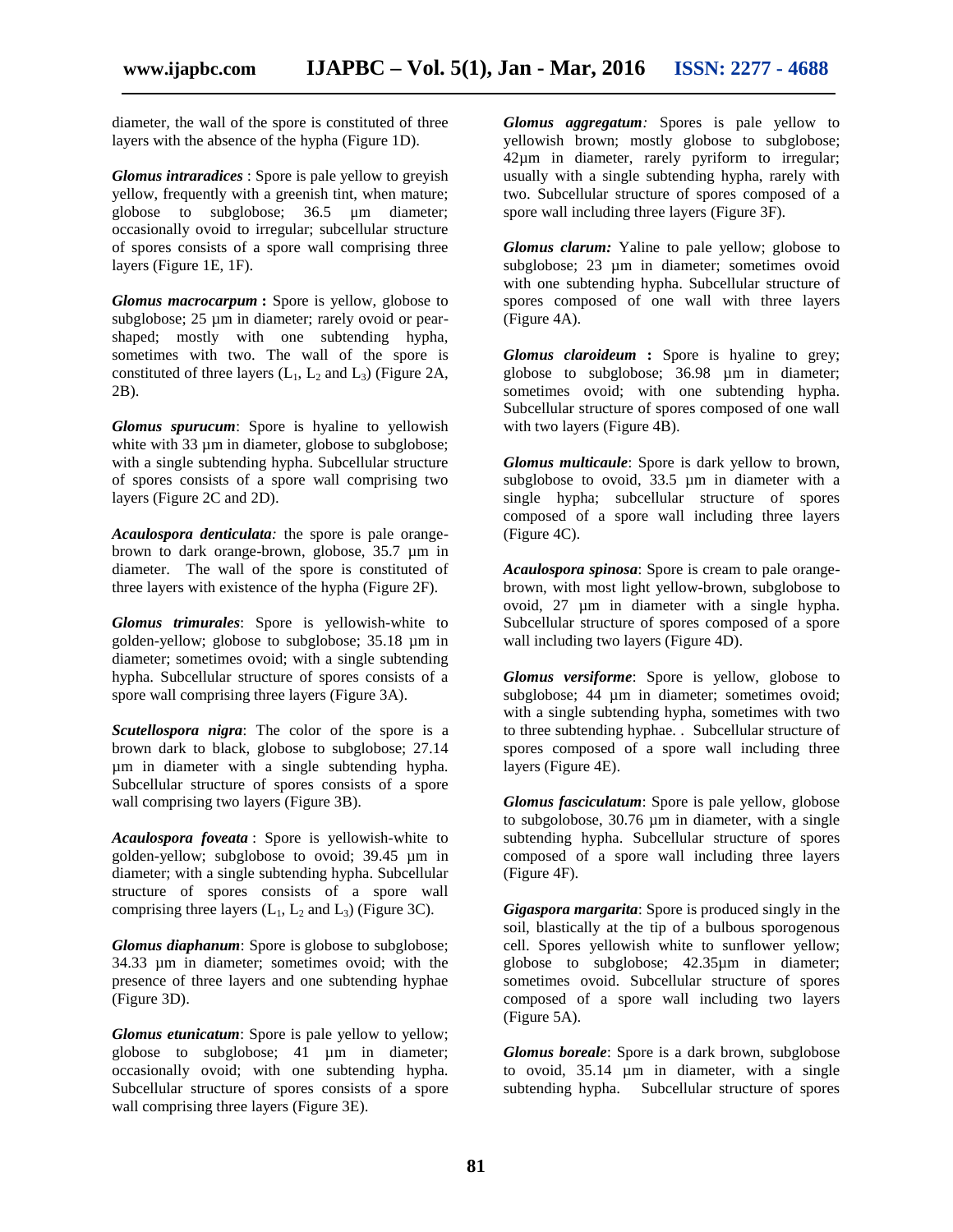diameter*,* the wall of the spore is constituted of three layers with the absence of the hypha (Figure 1D).

*Glomus intraradices* : Spore is pale yellow to greyish yellow, frequently with a greenish tint, when mature; globose to subglobose; 36.5 μm diameter; occasionally ovoid to irregular; subcellular structure of spores consists of a spore wall comprising three layers (Figure 1E, 1F).

*Glomus macrocarpum* **:** Spore is yellow, globose to subglobose; 25  $\mu$ m in diameter; rarely ovoid or pearshaped; mostly with one subtending hypha, sometimes with two. The wall of the spore is constituted of three layers  $(L_1, L_2$  and  $L_3$ ) (Figure 2A, 2B).

*Glomus spurucum*: Spore is hyaline to yellowish white with 33  $\mu$ m in diameter, globose to subglobose; with a single subtending hypha. Subcellular structure of spores consists of a spore wall comprising two layers (Figure 2C and 2D).

*Acaulospora denticulata:* the spore is pale orange brown to dark orange-brown, globose, 35.7 µm in diameter. The wall of the spore is constituted of three layers with existence of the hypha (Figure 2F).

*Glomus trimurales*: Spore is yellowish-white to golden-yellow; globose to subglobose; 35.18 µm in diameter; sometimes ovoid; with a single subtending hypha. Subcellular structure of spores consists of a spore wall comprising three layers (Figure 3A).

*Scutellospora nigra*: The color of the spore is a brown dark to black, globose to subglobose; 27.14 µm in diameter with a single subtending hypha. Subcellular structure of spores consists of a spore wall comprising two layers (Figure 3B).

*Acaulospora foveata* : Spore is yellowish-white to golden-yellow; subglobose to ovoid; 39.45 µm in diameter; with a single subtending hypha. Subcellular structure of spores consists of a spore wall comprising three layers  $(L_1, L_2$  and  $L_3$ ) (Figure 3C).

*Glomus diaphanum*: Spore is globose to subglobose; 34.33 µm in diameter; sometimes ovoid; with the presence of three layers and one subtending hyphae (Figure 3D).

*Glomus etunicatum*: Spore is pale yellow to yellow; globose to subglobose; 41 µm in diameter; occasionally ovoid; with one subtending hypha. Subcellular structure of spores consists of a spore wall comprising three layers (Figure 3E).

*Glomus aggregatum:* Spores is pale yellow to yellowish brown; mostly globose to subglobose; 42µm in diameter, rarely pyriform to irregular; usually with a single subtending hypha, rarely with two. Subcellular structure of spores composed of a spore wall including three layers (Figure 3F).

*Glomus clarum:* Yaline to pale yellow; globose to subglobose; 23 µm in diameter; sometimes ovoid with one subtending hypha. Subcellular structure of spores composed of one wall with three layers (Figure 4A).

*Glomus claroideum* **:** Spore is hyaline to grey; globose to subglobose; 36.98 µm in diameter; sometimes ovoid; with one subtending hypha. Subcellular structure of spores composed of one wall with two layers (Figure 4B).

*Glomus multicaule*: Spore is dark yellow to brown, subglobose to ovoid, 33.5 µm in diameter with a single hypha; subcellular structure of spores composed of a spore wall including three layers (Figure 4C).

*Acaulospora spinosa*: Spore is cream to pale orange brown, with most light yellow-brown, subglobose to ovoid, 27 µm in diameter with a single hypha. Subcellular structure of spores composed of a spore wall including two layers (Figure 4D).

*Glomus versiforme*: Spore is yellow, globose to subglobose; 44 µm in diameter; sometimes ovoid; with a single subtending hypha, sometimes with two to three subtending hyphae. . Subcellular structure of spores composed of a spore wall including three layers (Figure 4E).

*Glomus fasciculatum*: Spore is pale yellow, globose to subgolobose, 30.76 µm in diameter, with a single subtending hypha. Subcellular structure of spores composed of a spore wall including three layers (Figure 4F).

*Gigaspora margarita*: Spore is produced singly in the soil, blastically at the tip of a bulbous sporogenous cell. Spores yellowish white to sunflower yellow; globose to subglobose; 42.35µm in diameter; sometimes ovoid. Subcellular structure of spores composed of a spore wall including two layers (Figure 5A).

*Glomus boreale*: Spore is a dark brown, subglobose to ovoid, 35.14 µm in diameter, with a single subtending hypha. Subcellular structure of spores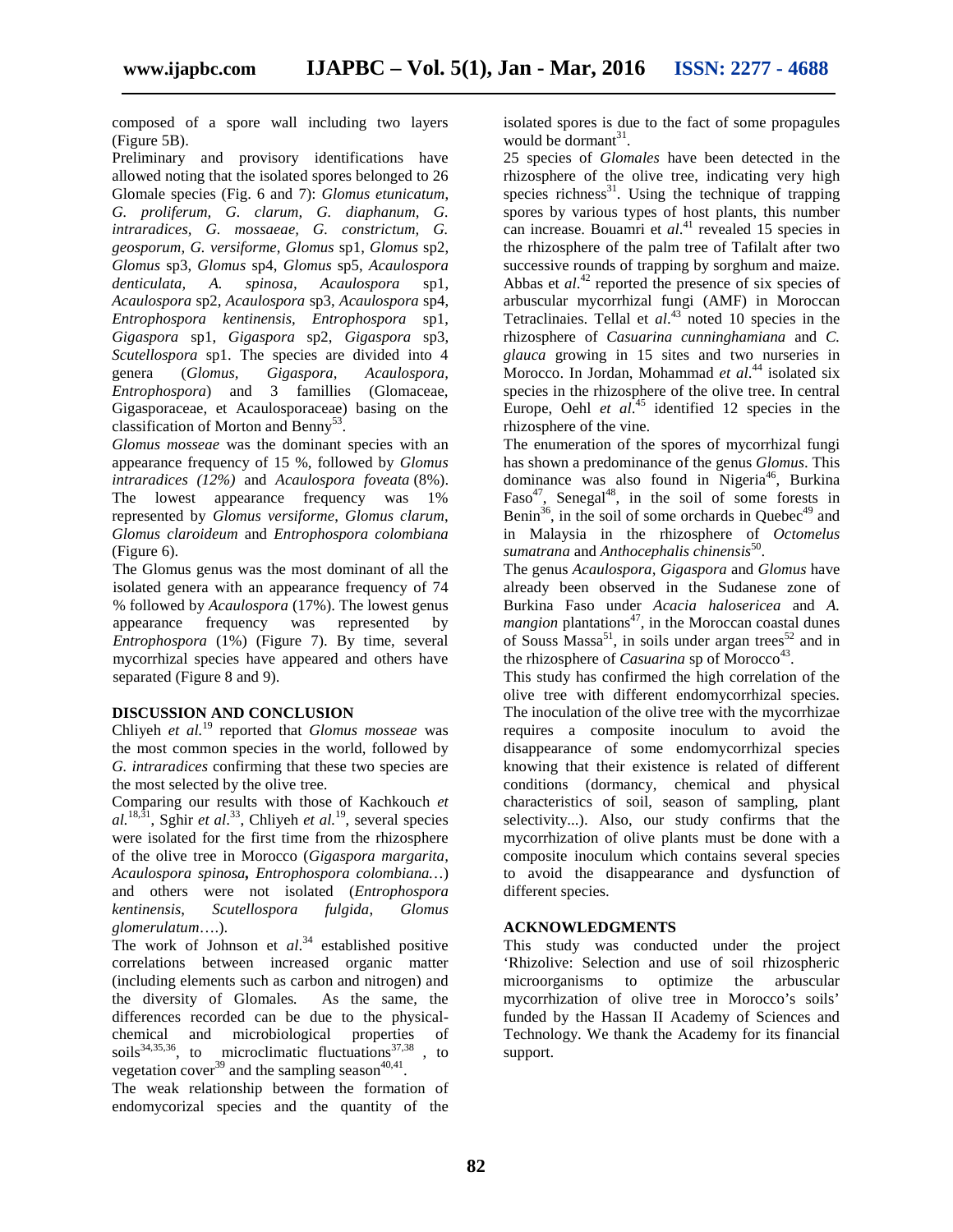composed of a spore wall including two layers (Figure 5B).

Preliminary and provisory identifications have allowed noting that the isolated spores belonged to 26 Glomale species (Fig. 6 and 7): *Glomus etunicatum*, *G. proliferum, G. clarum, G. diaphanum, G. intraradices, G. mossaeae, G. constrictum, G. geosporum, G. versiforme*, *Glomus* sp1, *Glomus* sp2, *Glomus* sp3, *Glomus* sp4, *Glomus* sp5, *Acaulospora denticulata, A. spinosa, Acaulospora* sp1, *Acaulospora* sp2, *Acaulospora* sp3, *Acaulospora* sp4, *Entrophospora kentinensis, Entrophospora* sp1, *Gigaspora* sp1, *Gigaspora* sp2, *Gigaspora* sp3, *Scutellospora* sp1. The species are divided into 4 genera (*Glomus, Gigaspora, Acaulospora, Entrophospora*) and 3 famillies (Glomaceae, Gigasporaceae, et Acaulosporaceae) basing on the classification of Morton and Benny<sup>53</sup>.

*Glomus mosseae* was the dominant species with an appearance frequency of 15 %, followed by *Glomus intraradices (12%)* and *Acaulospora foveata* (8%). The lowest appearance frequency was 1% represented by *Glomus versiforme*, *Glomus clarum*, *Glomus claroideum* and *Entrophospora colombiana* (Figure 6).

The Glomus genus was the most dominant of all the isolated genera with an appearance frequency of 74 % followed by *Acaulospora* (17%). The lowest genus appearance frequency was represented by *Entrophospora* (1%) (Figure 7). By time, several mycorrhizal species have appeared and others have separated (Figure 8 and 9).

## **DISCUSSION AND CONCLUSION**

Chliyeh *et al.*<sup>19</sup> reported that *Glomus mosseae* was the most common species in the world, followed by *G. intraradices* confirming that these two species are the most selected by the olive tree.

Comparing our results with those of Kachkouch *et al.*18,31, Sghir *et al*.<sup>33</sup>, Chliyeh *et al.*<sup>19</sup>, several species were isolated for the first time from the rhizosphere of the olive tree in Morocco (*Gigaspora margarita, Acaulospora spinosa, Entrophospora colombiana…*) and others were not isolated (*Entrophospora kentinensis*, *Scutellospora fulgida*, *Glomus glomerulatum*….).

The work of Johnson et *al*.<sup>34</sup> established positive correlations between increased organic matter (including elements such as carbon and nitrogen) and the diversity of Glomales*.* As the same, the differences recorded can be due to the physical chemical and microbiological properties of soils<sup>34,35,36</sup>, to microclimatic fluctuations<sup>37,38</sup>, to vegetation cover<sup>39</sup> and the sampling season<sup>40,41</sup>.

The weak relationship between the formation of endomycorizal species and the quantity of the

isolated spores is due to the fact of some propagules would be dormant<sup>31</sup>.

25 species of *Glomales* have been detected in the rhizosphere of the olive tree, indicating very high species richness $31$ . Using the technique of trapping spores by various types of host plants, this number can increase. Bouamri et *al*.<sup>41</sup> revealed 15 species in the rhizosphere of the palm tree of Tafilalt after two successive rounds of trapping by sorghum and maize. Abbas et *al*.<sup>42</sup> reported the presence of six species of arbuscular mycorrhizal fungi (AMF) in Moroccan Tetraclinaies. Tellal et *al*.<sup>43</sup> noted 10 species in the rhizosphere of *Casuarina cunninghamiana* and *C. glauca* growing in 15 sites and two nurseries in Morocco. In Jordan, Mohammad *et al*.<sup>44</sup> isolated six species in the rhizosphere of the olive tree. In central Europe, Oehl *et al*.<sup>45</sup> identified 12 species in the rhizosphere of the vine.

The enumeration of the spores of mycorrhizal fungi has shown a predominance of the genus *Glomus*. This dominance was also found in Nigeria<sup>46</sup>, Burkina  $Faso<sup>47</sup>$ , Senegal<sup>48</sup>, in the soil of some forests in Benin<sup>36</sup>, in the soil of some orchards in Quebec<sup>49</sup> and in Malaysia in the rhizosphere of *Octomelus sumatrana* and *Anthocephalis chinensis*<sup>50</sup> .

The genus *Acaulospora*, *Gigaspora* and *Glomus* have already been observed in the Sudanese zone of Burkina Faso under *Acacia halosericea* and *A. mangion* plantations<sup>47</sup>, in the Moroccan coastal dunes of Souss Massa<sup>51</sup>, in soils under argan trees<sup>52</sup> and in the rhizosphere of *Casuarina* sp of Morocco<sup>43</sup>.

This study has confirmed the high correlation of the olive tree with different endomycorrhizal species. The inoculation of the olive tree with the mycorrhizae requires a composite inoculum to avoid the disappearance of some endomycorrhizal species knowing that their existence is related of different conditions (dormancy, chemical and physical characteristics of soil, season of sampling, plant selectivity...). Also, our study confirms that the mycorrhization of olive plants must be done with a composite inoculum which contains several species to avoid the disappearance and dysfunction of different species.

### **ACKNOWLEDGMENTS**

This study was conducted under the project 'Rhizolive: Selection and use of soil rhizospheric microorganisms to optimize the arbuscular mycorrhization of olive tree in Morocco's soils' funded by the Hassan II Academy of Sciences and Technology. We thank the Academy for its financial support.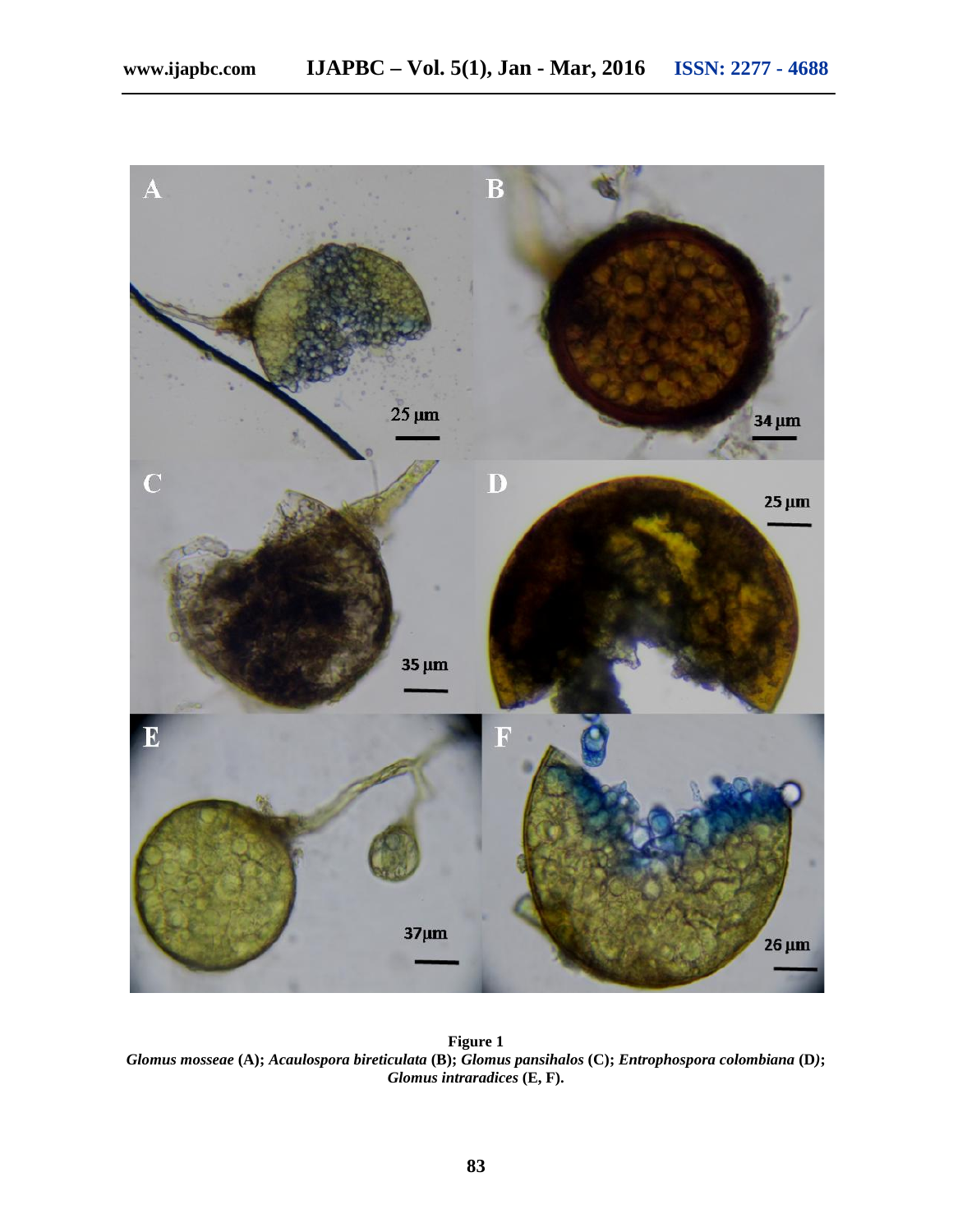

**Figure 1** *Glomus mosseae* **(A);** *Acaulospora bireticulata* **(B);** *Glomus pansihalos* **(C);** *Entrophospora colombiana* **(D***)***;** *Glomus intraradices* **(E, F).**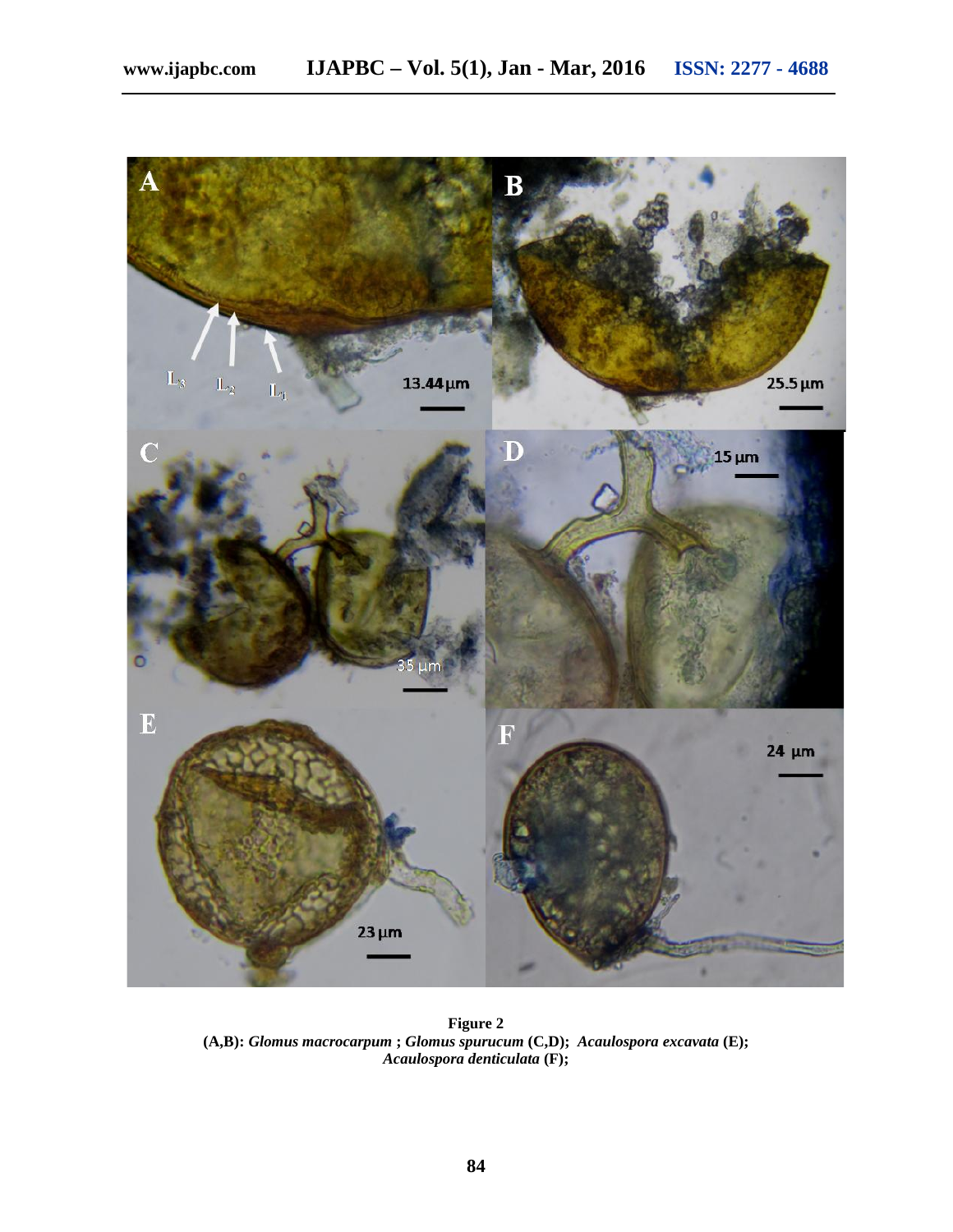

**Figure 2 (A,B):** *Glomus macrocarpum* **;** *Glomus spurucum* **(C,D);** *Acaulospora excavata* **(E);** *Acaulospora denticulata* **(F);**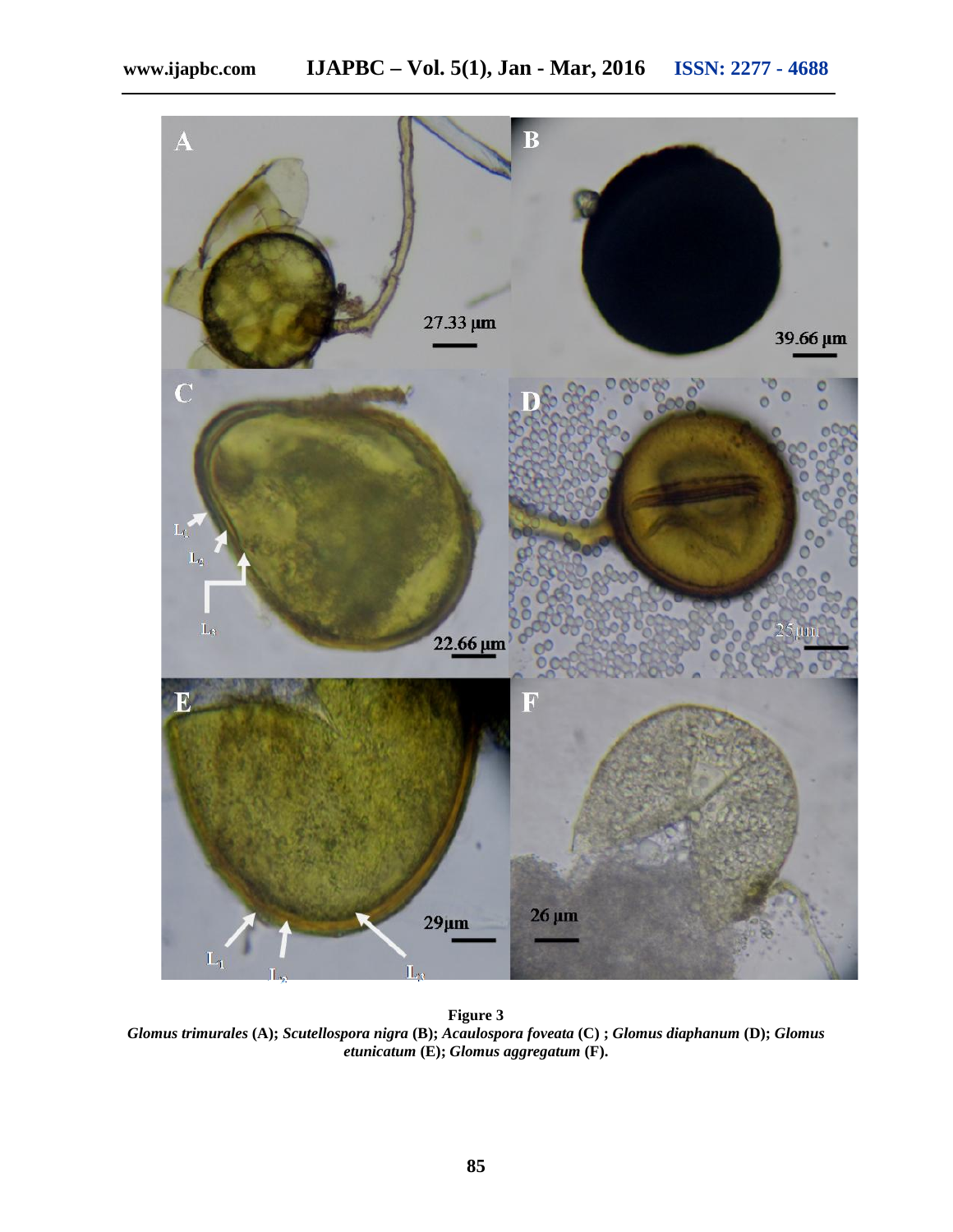

**Figure 3** *Glomus trimurales* **(A);** *Scutellospora nigra* **(B);** *Acaulospora foveata* **(C) ;** *Glomus diaphanum* **(D);** *Glomus etunicatum* **(E);** *Glomus aggregatum* **(F).**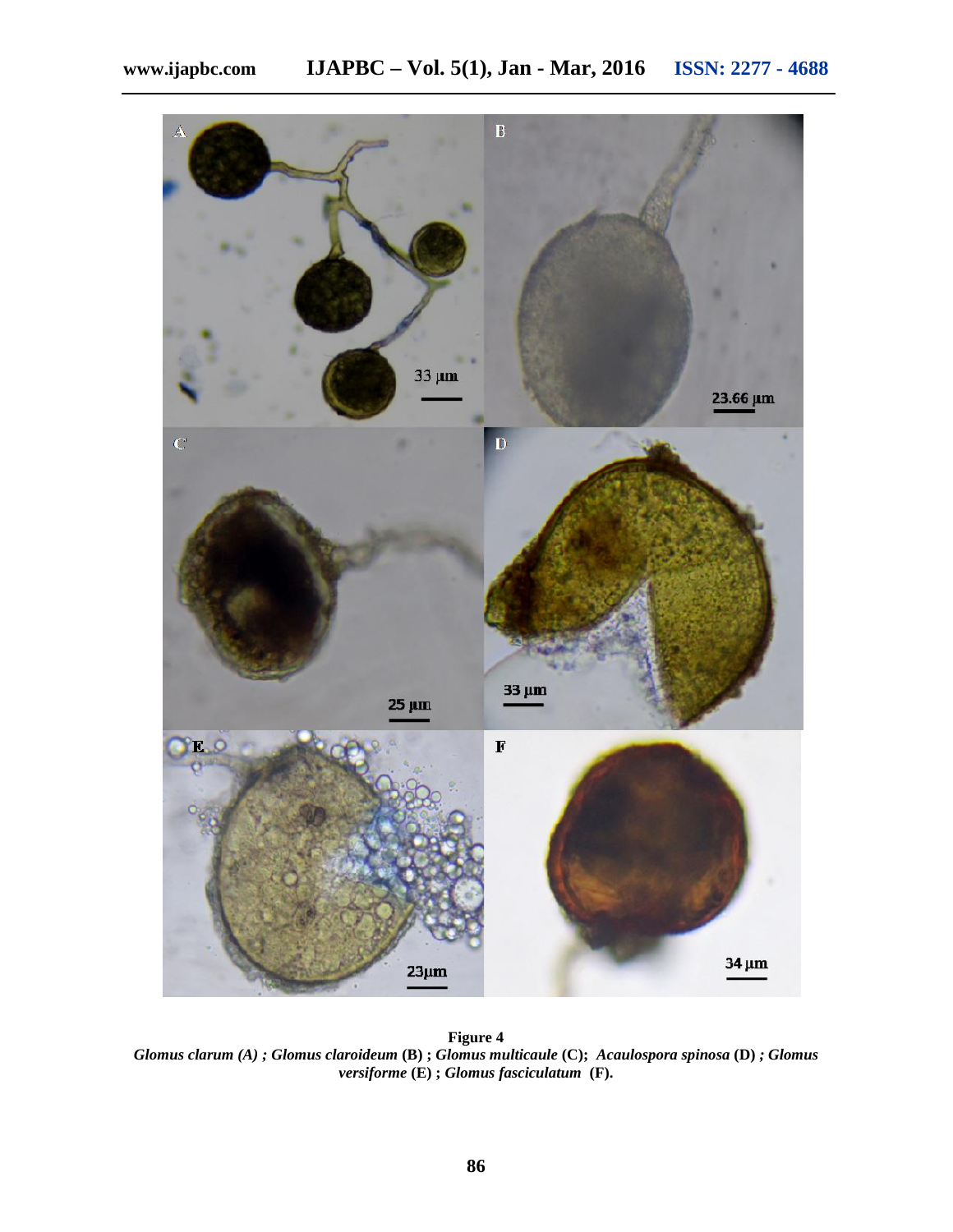

**Figure 4** *Glomus clarum (A) ; Glomus claroideum* **(B) ;** *Glomus multicaule* **(C);** *Acaulospora spinosa* **(D)** *; Glomus versiforme* **(E) ;** *Glomus fasciculatum* **(F).**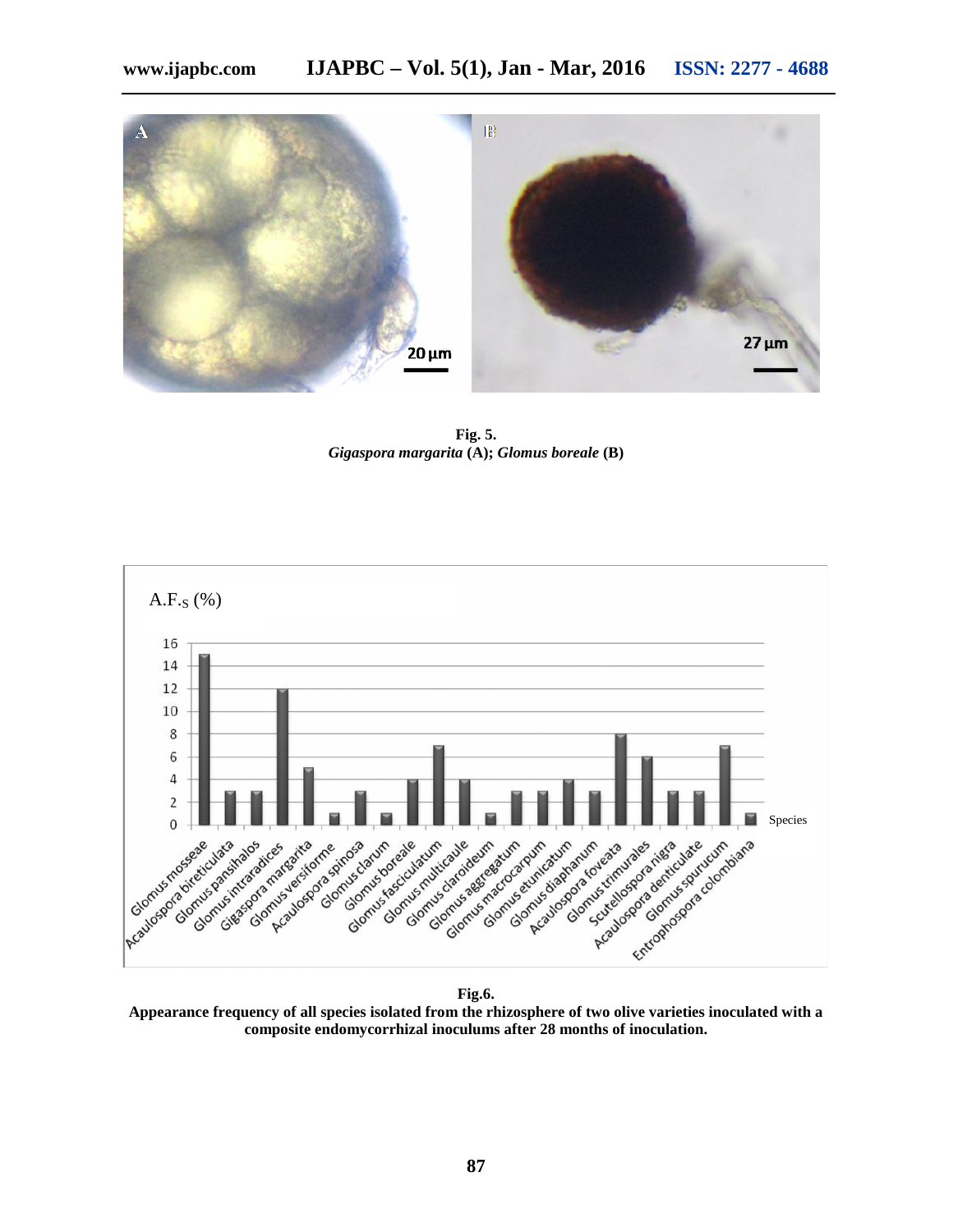

**Fig. 5.** *Gigaspora margarita* **(A);** *Glomus boreale* **(B)**



**Fig.6.**

**Appearance frequency of all species isolated from the rhizosphere of two olive varieties inoculated with a composite endomycorrhizal inoculums after 28 months of inoculation.**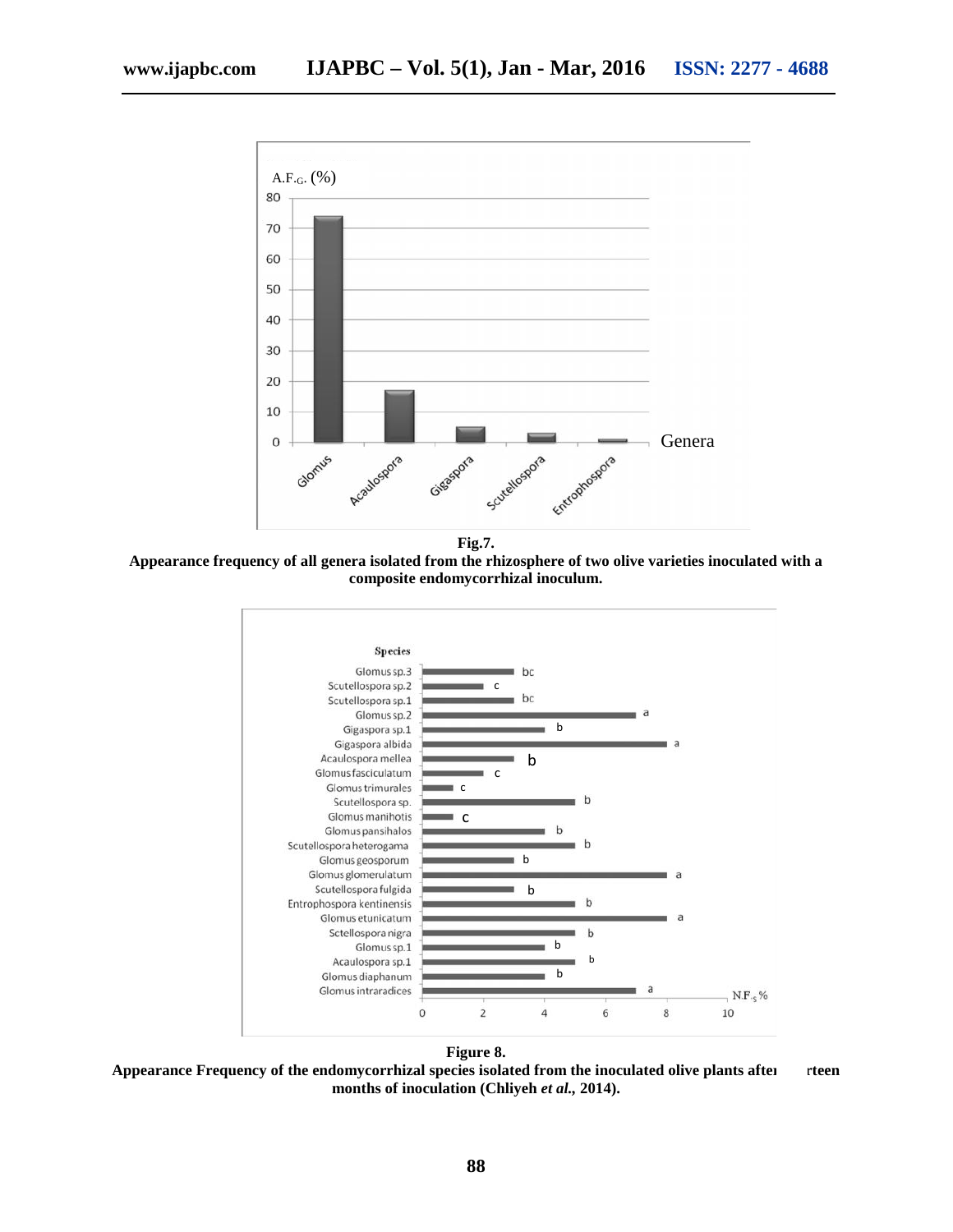

**Appearance frequency of all genera isolated from the rhizosphere of two olive varieties inoculated with a composite endomycorrhizal inoculum.**





Appearance Frequency of the endomycorrhizal species isolated from the inoculated olive plants after feen **months of inoculation (Chliyeh** *et al.,* **2014).**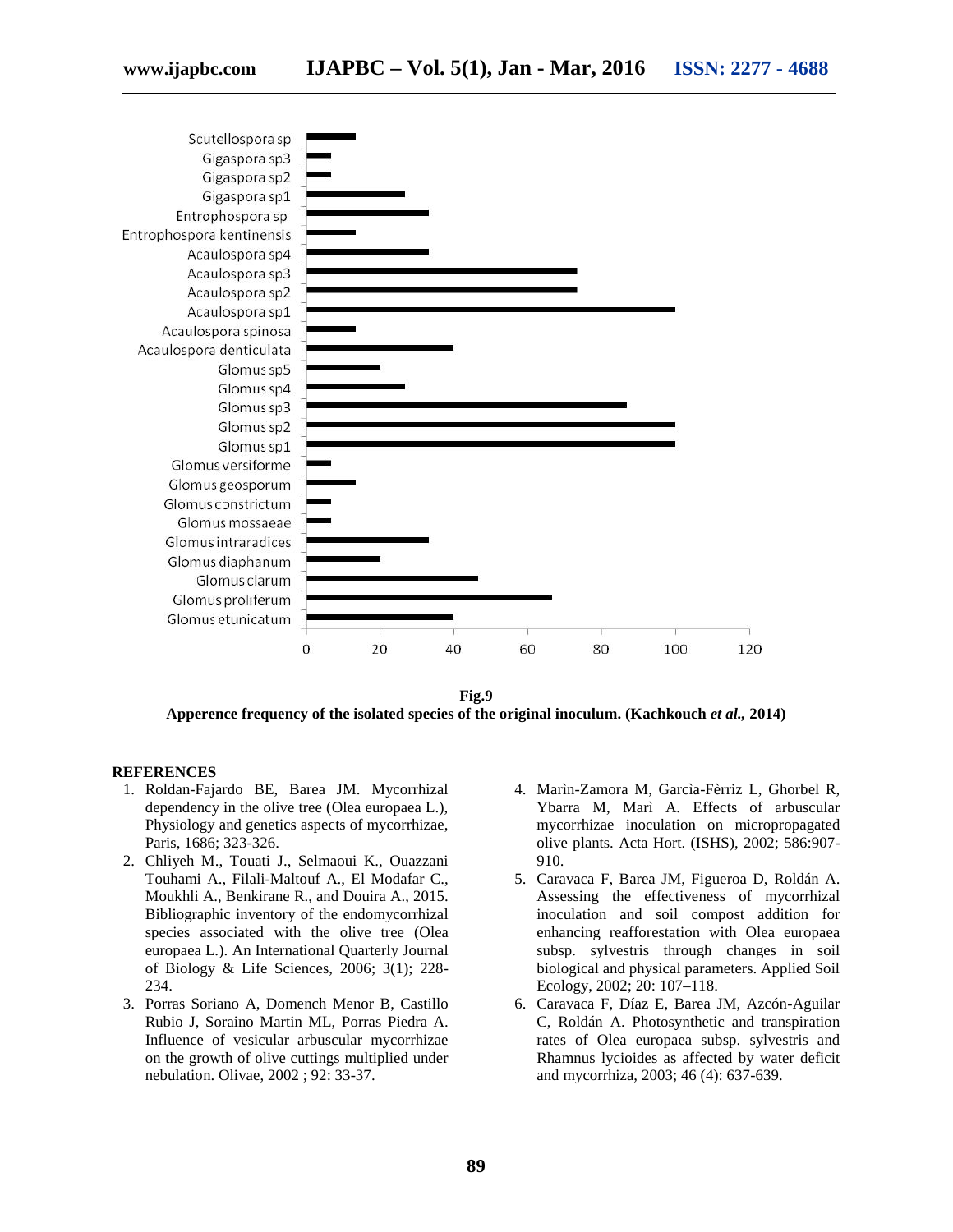



**Fig.9 Apperence frequency of the isolated species of the original inoculum. (Kachkouch** *et al.,* **2014)**

#### **REFERENCES**

- 1. Roldan-Fajardo BE, Barea JM. Mycorrhizal dependency in the olive tree (Olea europaea L.), Physiology and genetics aspects of mycorrhizae, Paris, 1686; 323-326.
- 2. Chliyeh M., Touati J., Selmaoui K., Ouazzani Touhami A., Filali-Maltouf A., El Modafar C., Moukhli A., Benkirane R., and Douira A., 2015. Bibliographic inventory of the endomycorrhizal species associated with the olive tree (Olea europaea L.). An International Quarterly Journal of Biology & Life Sciences, 2006; 3(1); 228- 234.
- 3. Porras Soriano A, Domench Menor B, Castillo Rubio J, Soraino Martin ML, Porras Piedra A. Influence of vesicular arbuscular mycorrhizae on the growth of olive cuttings multiplied under nebulation. Olivae, 2002 ; 92: 33-37.
- 4. Marìn-Zamora M, Garcìa-Fèrriz L, Ghorbel R, Ybarra M, Marì A. Effects of arbuscular mycorrhizae inoculation on micropropagated olive plants. Acta Hort. (ISHS), 2002; 586:907- 910.
- 5. Caravaca F, Barea JM, Figueroa D, Roldán A. Assessing the effectiveness of mycorrhizal inoculation and soil compost addition for enhancing reafforestation with Olea europaea subsp. sylvestris through changes in soil biological and physical parameters. Applied Soil Ecology, 2002; 20: 107–118.
- 6. Caravaca F, Díaz E, Barea JM, Azcón-Aguilar C, Roldán A. Photosynthetic and transpiration rates of Olea europaea subsp. sylvestris and Rhamnus lycioides as affected by water deficit and mycorrhiza, 2003; 46 (4): 637-639.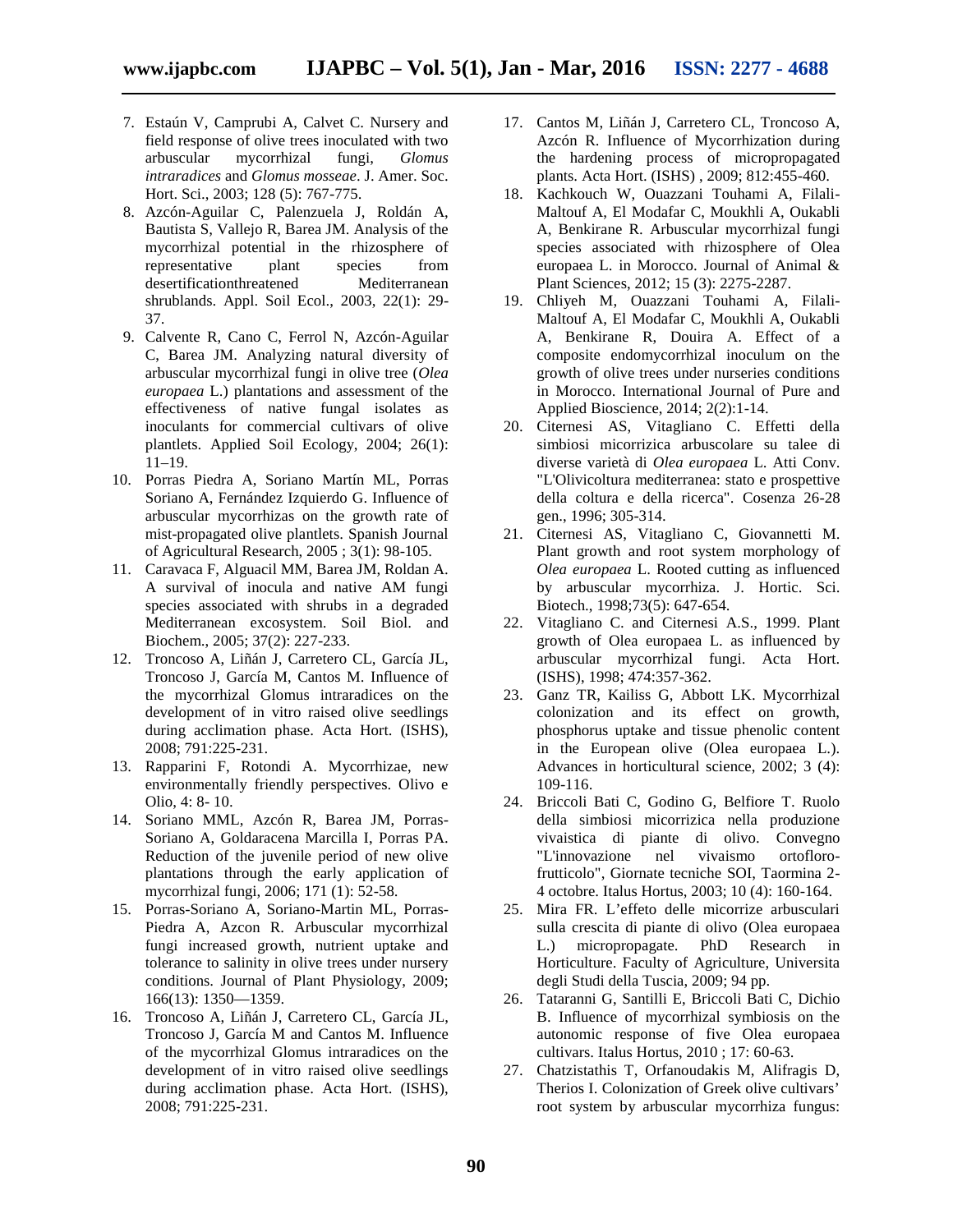- 7. Estaún V, Camprubi A, Calvet C. Nursery and field response of olive trees inoculated with two arbuscular mycorrhizal fungi, *Glomus intraradices* and *Glomus mosseae*. J. Amer. Soc. Hort. Sci., 2003; 128 (5): 767-775.
- 8. Azcón-Aguilar C, Palenzuela J, Roldán A, Bautista S, Vallejo R, Barea JM. Analysis of the mycorrhizal potential in the rhizosphere of representative plant species from desertificationthreatened Mediterranean shrublands. Appl. Soil Ecol., 2003, 22(1): 29- 37.
- 9. Calvente R, Cano C, Ferrol N, Azcón-Aguilar C, Barea JM. Analyzing natural diversity of arbuscular mycorrhizal fungi in olive tree (*Olea europaea* L.) plantations and assessment of the effectiveness of native fungal isolates as inoculants for commercial cultivars of olive plantlets. Applied Soil Ecology, 2004; 26(1): 11–19.
- 10. Porras Piedra A, Soriano Martín ML, Porras Soriano A, Fernández Izquierdo G. Influence of arbuscular mycorrhizas on the growth rate of mist-propagated olive plantlets. Spanish Journal of Agricultural Research, 2005 ; 3(1): 98-105.
- 11. Caravaca F, Alguacil MM, Barea JM, Roldan A. A survival of inocula and native AM fungi species associated with shrubs in a degraded Mediterranean excosystem. Soil Biol. and Biochem., 2005; 37(2): 227-233.
- 12. Troncoso A, Liñán J, Carretero CL, García JL, Troncoso J, García M, Cantos M. Influence of the mycorrhizal Glomus intraradices on the development of in vitro raised olive seedlings during acclimation phase. Acta Hort. (ISHS), 2008; 791:225-231.
- 13. Rapparini F, Rotondi A. Mycorrhizae, new environmentally friendly perspectives. Olivo e Olio, 4: 8- 10.
- 14. Soriano MML, Azcón R, Barea JM, Porras- Soriano A, Goldaracena Marcilla I, Porras PA. Reduction of the juvenile period of new olive plantations through the early application of mycorrhizal fungi, 2006; 171 (1): 52-58.
- 15. Porras-Soriano A, Soriano-Martin ML, Porras- Piedra A, Azcon R. Arbuscular mycorrhizal fungi increased growth, nutrient uptake and tolerance to salinity in olive trees under nursery conditions. Journal of Plant Physiology, 2009; 166(13): 1350—1359.
- 16. Troncoso A, Liñán J, Carretero CL, García JL, Troncoso J, García M and Cantos M. Influence of the mycorrhizal Glomus intraradices on the development of in vitro raised olive seedlings during acclimation phase. Acta Hort. (ISHS), 2008; 791:225-231.
- 17. Cantos M, Liñán J, Carretero CL, Troncoso A, Azcón R. Influence of Mycorrhization during the hardening process of micropropagated plants. Acta Hort. (ISHS) , 2009; 812:455-460.
- 18. Kachkouch W, Ouazzani Touhami A, Filali- Maltouf A, El Modafar C, Moukhli A, Oukabli A, Benkirane R. Arbuscular mycorrhizal fungi species associated with rhizosphere of Olea europaea L. in Morocco. Journal of Animal & Plant Sciences, 2012; 15 (3): 2275-2287.
- 19. Chliyeh M, Ouazzani Touhami A, Filali- Maltouf A, El Modafar C, Moukhli A, Oukabli A, Benkirane R, Douira A. Effect of a composite endomycorrhizal inoculum on the growth of olive trees under nurseries conditions in Morocco. International Journal of Pure and Applied Bioscience, 2014; 2(2):1-14.
- 20. Citernesi AS, Vitagliano C. Effetti della simbiosi micorrizica arbuscolare su talee di diverse varietà di *Olea europaea* L. Atti Conv. "L'Olivicoltura mediterranea: stato e prospettive della coltura e della ricerca". Cosenza 26-28 gen., 1996; 305-314.
- 21. Citernesi AS, Vitagliano C, Giovannetti M. Plant growth and root system morphology of *Olea europaea* L. Rooted cutting as influenced by arbuscular mycorrhiza. J. Hortic. Sci. Biotech., 1998;73(5): 647-654.
- 22. Vitagliano C. and Citernesi A.S., 1999. Plant growth of Olea europaea L. as influenced by arbuscular mycorrhizal fungi. Acta Hort. (ISHS), 1998; 474:357-362.
- 23. Ganz TR, Kailiss G, Abbott LK. Mycorrhizal colonization and its effect on growth, phosphorus uptake and tissue phenolic content in the European olive (Olea europaea L.). Advances in horticultural science, 2002; 3 (4): 109-116.
- 24. Briccoli Bati C, Godino G, Belfiore T. Ruolo della simbiosi micorrizica nella produzione vivaistica di piante di olivo. Convegno "L'innovazione nel vivaismo ortoflorofrutticolo", Giornate tecniche SOI, Taormina 2- 4 octobre. Italus Hortus, 2003; 10 (4): 160-164.
- 25. Mira FR. L'effeto delle micorrize arbusculari sulla crescita di piante di olivo (Olea europaea L.) micropropagate. PhD Research in Horticulture. Faculty of Agriculture, Universita degli Studi della Tuscia, 2009; 94 pp.
- 26. Tataranni G, Santilli E, Briccoli Bati C, Dichio B. Influence of mycorrhizal symbiosis on the autonomic response of five Olea europaea cultivars. Italus Hortus, 2010 ; 17: 60-63.
- 27. Chatzistathis T, Orfanoudakis M, Alifragis D, Therios I. Colonization of Greek olive cultivars' root system by arbuscular mycorrhiza fungus: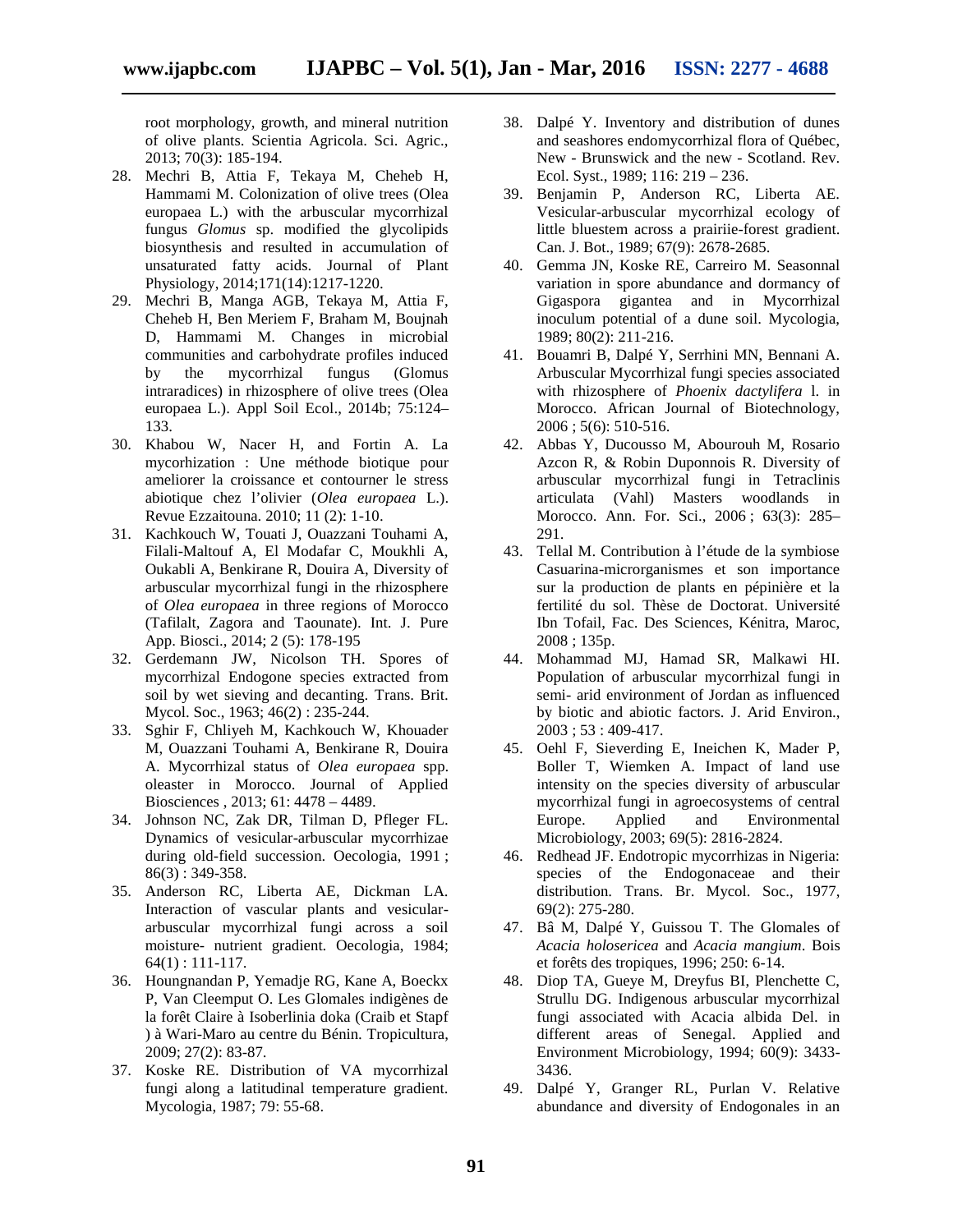root morphology, growth, and mineral nutrition of olive plants. Scientia Agricola. Sci. Agric., 2013; 70(3): 185-194.

- 28. Mechri B, Attia F, Tekaya M, Cheheb H, Hammami M. Colonization of olive trees (Olea europaea L.) with the arbuscular mycorrhizal fungus *Glomus* sp. modified the glycolipids biosynthesis and resulted in accumulation of unsaturated fatty acids. Journal of Plant Physiology, 2014;171(14):1217-1220.
- 29. Mechri B, Manga AGB, Tekaya M, Attia F, Cheheb H, Ben Meriem F, Braham M, Boujnah D, Hammami M. Changes in microbial communities and carbohydrate profiles induced by the mycorrhizal fungus (Glomus intraradices) in rhizosphere of olive trees (Olea europaea L.). Appl Soil Ecol., 2014b; 75:124– 133.
- 30. Khabou W, Nacer H, and Fortin A. La mycorhization : Une méthode biotique pour ameliorer la croissance et contourner le stress abiotique chez l'olivier (*Olea europaea* L.). Revue Ezzaitouna. 2010; 11 (2): 1-10.
- 31. Kachkouch W, Touati J, Ouazzani Touhami A, Filali-Maltouf A, El Modafar C, Moukhli A, Oukabli A, Benkirane R, Douira A, Diversity of arbuscular mycorrhizal fungi in the rhizosphere of *Olea europaea* in three regions of Morocco (Tafilalt, Zagora and Taounate). Int. J. Pure App. Biosci., 2014; 2 (5): 178-195
- 32. Gerdemann JW, Nicolson TH. Spores of mycorrhizal Endogone species extracted from soil by wet sieving and decanting. Trans. Brit. Mycol. Soc., 1963; 46(2) : 235-244.
- 33. Sghir F, Chliyeh M, Kachkouch W, Khouader M, Ouazzani Touhami A, Benkirane R, Douira A. Mycorrhizal status of *Olea europaea* spp. oleaster in Morocco. Journal of Applied Biosciences , 2013; 61: 4478 – 4489.
- 34. Johnson NC, Zak DR, Tilman D, Pfleger FL. Dynamics of vesicular-arbuscular mycorrhizae during old-field succession. Oecologia, 1991 ; 86(3) : 349-358.
- 35. Anderson RC, Liberta AE, Dickman LA. Interaction of vascular plants and vesicular arbuscular mycorrhizal fungi across a soil moisture- nutrient gradient. Oecologia, 1984; 64(1) : 111-117.
- 36. Houngnandan P, Yemadje RG, Kane A, Boeckx P, Van Cleemput O. Les Glomales indigènes de la forêt Claire à Isoberlinia doka (Craib et Stapf ) à Wari-Maro au centre du Bénin. Tropicultura, 2009; 27(2): 83-87.
- 37. Koske RE. Distribution of VA mycorrhizal fungi along a latitudinal temperature gradient. Mycologia, 1987; 79: 55-68.
- 38. Dalpé Y. Inventory and distribution of dunes and seashores endomycorrhizal flora of Québec, New - Brunswick and the new - Scotland. Rev. Ecol. Syst., 1989; 116: 219 – 236.
- 39. Benjamin P, Anderson RC, Liberta AE. Vesicular-arbuscular mycorrhizal ecology of little bluestem across a prairiie-forest gradient. Can. J. Bot., 1989; 67(9): 2678-2685.
- 40. Gemma JN, Koske RE, Carreiro M. Seasonnal variation in spore abundance and dormancy of Gigaspora gigantea and in Mycorrhizal inoculum potential of a dune soil. Mycologia, 1989; 80(2): 211-216.
- 41. Bouamri B, Dalpé Y, Serrhini MN, Bennani A. Arbuscular Mycorrhizal fungi species associated with rhizosphere of *Phoenix dactylifera* l. in Morocco. African Journal of Biotechnology, 2006 ; 5(6): 510-516.
- 42. Abbas Y, Ducousso M, Abourouh M, Rosario Azcon R, & Robin Duponnois R. Diversity of arbuscular mycorrhizal fungi in Tetraclinis articulata (Vahl) Masters woodlands in Morocco. Ann. For. Sci., 2006 ; 63(3): 285– 291.
- 43. Tellal M. Contribution à l'étude de la symbiose Casuarina-microrganismes et son importance sur la production de plants en pépinière et la fertilité du sol. Thèse de Doctorat. Université Ibn Tofail, Fac. Des Sciences, Kénitra, Maroc, 2008 ; 135p.
- 44. Mohammad MJ, Hamad SR, Malkawi HI. Population of arbuscular mycorrhizal fungi in semi- arid environment of Jordan as influenced by biotic and abiotic factors. J. Arid Environ., 2003 ; 53 : 409-417.
- 45. Oehl F, Sieverding E, Ineichen K, Mader P, Boller T, Wiemken A. Impact of land use intensity on the species diversity of arbuscular mycorrhizal fungi in agroecosystems of central Europe. Applied and Environmental Microbiology, 2003; 69(5): 2816-2824.
- 46. Redhead JF. Endotropic mycorrhizas in Nigeria: species of the Endogonaceae and their distribution. Trans. Br. Mycol. Soc., 1977, 69(2): 275-280.
- 47. Bâ M, Dalpé Y, Guissou T. The Glomales of *Acacia holosericea* and *Acacia mangium*. Bois et forêts des tropiques, 1996; 250: 6-14.
- 48. Diop TA, Gueye M, Dreyfus BI, Plenchette C, Strullu DG. Indigenous arbuscular mycorrhizal fungi associated with Acacia albida Del. in different areas of Senegal. Applied and Environment Microbiology, 1994; 60(9): 3433- 3436.
- 49. Dalpé Y, Granger RL, Purlan V. Relative abundance and diversity of Endogonales in an